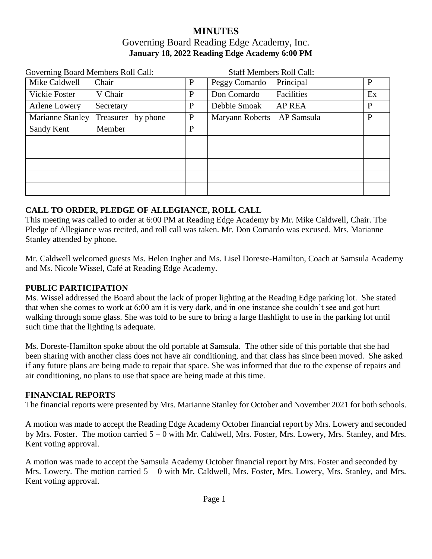## **MINUTES** Governing Board Reading Edge Academy, Inc. **January 18, 2022 Reading Edge Academy 6:00 PM**

| Governing Board Members Roll Call:     |   | <b>Staff Members Roll Call:</b> |    |
|----------------------------------------|---|---------------------------------|----|
| Mike Caldwell<br>Chair                 | P | Peggy Comardo<br>Principal      | P  |
| Vickie Foster<br>V Chair               | P | Facilities<br>Don Comardo       | Ex |
| Arlene Lowery<br>Secretary             | P | Debbie Smoak<br><b>AP REA</b>   | P  |
| Marianne Stanley<br>Treasurer by phone | P | Maryann Roberts AP Samsula      | P  |
| Sandy Kent<br>Member                   | P |                                 |    |
|                                        |   |                                 |    |
|                                        |   |                                 |    |
|                                        |   |                                 |    |
|                                        |   |                                 |    |
|                                        |   |                                 |    |

### **CALL TO ORDER, PLEDGE OF ALLEGIANCE, ROLL CALL**

This meeting was called to order at 6:00 PM at Reading Edge Academy by Mr. Mike Caldwell, Chair. The Pledge of Allegiance was recited, and roll call was taken. Mr. Don Comardo was excused. Mrs. Marianne Stanley attended by phone.

Mr. Caldwell welcomed guests Ms. Helen Ingher and Ms. Lisel Doreste-Hamilton, Coach at Samsula Academy and Ms. Nicole Wissel, Café at Reading Edge Academy.

### **PUBLIC PARTICIPATION**

Ms. Wissel addressed the Board about the lack of proper lighting at the Reading Edge parking lot. She stated that when she comes to work at 6:00 am it is very dark, and in one instance she couldn't see and got hurt walking through some glass. She was told to be sure to bring a large flashlight to use in the parking lot until such time that the lighting is adequate.

Ms. Doreste-Hamilton spoke about the old portable at Samsula. The other side of this portable that she had been sharing with another class does not have air conditioning, and that class has since been moved. She asked if any future plans are being made to repair that space. She was informed that due to the expense of repairs and air conditioning, no plans to use that space are being made at this time.

### **FINANCIAL REPORT**S

The financial reports were presented by Mrs. Marianne Stanley for October and November 2021 for both schools.

A motion was made to accept the Reading Edge Academy October financial report by Mrs. Lowery and seconded by Mrs. Foster. The motion carried 5 – 0 with Mr. Caldwell, Mrs. Foster, Mrs. Lowery, Mrs. Stanley, and Mrs. Kent voting approval.

A motion was made to accept the Samsula Academy October financial report by Mrs. Foster and seconded by Mrs. Lowery. The motion carried  $5 - 0$  with Mr. Caldwell, Mrs. Foster, Mrs. Lowery, Mrs. Stanley, and Mrs. Kent voting approval.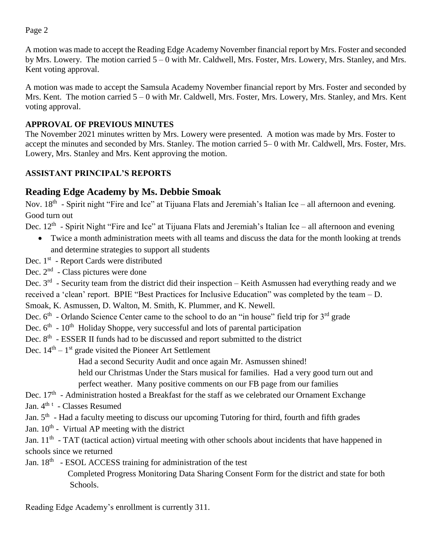Page 2

A motion was made to accept the Reading Edge Academy November financial report by Mrs. Foster and seconded by Mrs. Lowery. The motion carried 5 – 0 with Mr. Caldwell, Mrs. Foster, Mrs. Lowery, Mrs. Stanley, and Mrs. Kent voting approval.

A motion was made to accept the Samsula Academy November financial report by Mrs. Foster and seconded by Mrs. Kent. The motion carried 5 – 0 with Mr. Caldwell, Mrs. Foster, Mrs. Lowery, Mrs. Stanley, and Mrs. Kent voting approval.

## **APPROVAL OF PREVIOUS MINUTES**

The November 2021 minutes written by Mrs. Lowery were presented. A motion was made by Mrs. Foster to accept the minutes and seconded by Mrs. Stanley. The motion carried 5– 0 with Mr. Caldwell, Mrs. Foster, Mrs. Lowery, Mrs. Stanley and Mrs. Kent approving the motion.

## **ASSISTANT PRINCIPAL'S REPORTS**

# **Reading Edge Academy by Ms. Debbie Smoak**

Nov. 18<sup>th</sup> - Spirit night "Fire and Ice" at Tijuana Flats and Jeremiah's Italian Ice – all afternoon and evening. Good turn out

Dec. 12<sup>th</sup> - Spirit Night "Fire and Ice" at Tijuana Flats and Jeremiah's Italian Ice – all afternoon and evening

- Twice a month administration meets with all teams and discuss the data for the month looking at trends and determine strategies to support all students
- Dec. 1<sup>st</sup> Report Cards were distributed
- Dec. 2<sup>nd</sup> Class pictures were done

Dec. 3<sup>rd</sup> - Security team from the district did their inspection – Keith Asmussen had everything ready and we received a 'clean' report. BPIE "Best Practices for Inclusive Education" was completed by the team – D.

Smoak, K. Asmussen, D. Walton, M. Smith, K. Plummer, and K. Newell.

- Dec. 6<sup>th</sup> Orlando Science Center came to the school to do an "in house" field trip for 3<sup>rd</sup> grade
- Dec. 6<sup>th</sup> 10<sup>th</sup> Holiday Shoppe, very successful and lots of parental participation
- Dec. 8<sup>th</sup> ESSER II funds had to be discussed and report submitted to the district
- Dec.  $14<sup>th</sup> 1<sup>st</sup>$  grade visited the Pioneer Art Settlement

Had a second Security Audit and once again Mr. Asmussen shined!

held our Christmas Under the Stars musical for families. Had a very good turn out and

perfect weather. Many positive comments on our FB page from our families

- Dec. 17<sup>th</sup> Administration hosted a Breakfast for the staff as we celebrated our Ornament Exchange
- Jan. 4<sup>th t</sup> Classes Resumed

Jan. 5<sup>th</sup> - Had a faculty meeting to discuss our upcoming Tutoring for third, fourth and fifth grades

Jan.  $10^{th}$  - Virtual AP meeting with the district

Jan. 11<sup>th</sup> - TAT (tactical action) virtual meeting with other schools about incidents that have happened in schools since we returned

Jan. 18<sup>th</sup> - ESOL ACCESS training for administration of the test

 Completed Progress Monitoring Data Sharing Consent Form for the district and state for both Schools.

Reading Edge Academy's enrollment is currently 311.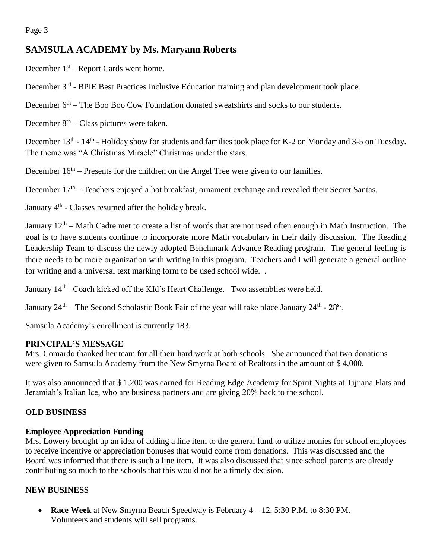# **SAMSULA ACADEMY by Ms. Maryann Roberts**

December  $1<sup>st</sup>$  – Report Cards went home.

December 3<sup>rd</sup> - BPIE Best Practices Inclusive Education training and plan development took place.

December  $6<sup>th</sup>$  – The Boo Boo Cow Foundation donated sweatshirts and socks to our students.

December  $8<sup>th</sup> - Class pictures were taken.$ 

December 13<sup>th</sup> - 14<sup>th</sup> - Holiday show for students and families took place for K-2 on Monday and 3-5 on Tuesday. The theme was "A Christmas Miracle" Christmas under the stars.

December  $16<sup>th</sup>$  – Presents for the children on the Angel Tree were given to our families.

December 17<sup>th</sup> – Teachers enjoyed a hot breakfast, ornament exchange and revealed their Secret Santas.

January 4<sup>th</sup> - Classes resumed after the holiday break.

January 12<sup>th</sup> – Math Cadre met to create a list of words that are not used often enough in Math Instruction. The goal is to have students continue to incorporate more Math vocabulary in their daily discussion. The Reading Leadership Team to discuss the newly adopted Benchmark Advance Reading program. The general feeling is there needs to be more organization with writing in this program. Teachers and I will generate a general outline for writing and a universal text marking form to be used school wide. .

January 14<sup>th</sup> –Coach kicked off the KId's Heart Challenge. Two assemblies were held.

January 24<sup>th</sup> – The Second Scholastic Book Fair of the year will take place January 24<sup>th</sup> - 28<sup>st</sup>.

Samsula Academy's enrollment is currently 183.

### **PRINCIPAL'S MESSAGE**

Mrs. Comardo thanked her team for all their hard work at both schools. She announced that two donations were given to Samsula Academy from the New Smyrna Board of Realtors in the amount of \$ 4,000.

It was also announced that \$ 1,200 was earned for Reading Edge Academy for Spirit Nights at Tijuana Flats and Jeramiah's Italian Ice, who are business partners and are giving 20% back to the school.

### **OLD BUSINESS**

### **Employee Appreciation Funding**

Mrs. Lowery brought up an idea of adding a line item to the general fund to utilize monies for school employees to receive incentive or appreciation bonuses that would come from donations. This was discussed and the Board was informed that there is such a line item. It was also discussed that since school parents are already contributing so much to the schools that this would not be a timely decision.

### **NEW BUSINESS**

 **Race Week** at New Smyrna Beach Speedway is February 4 – 12, 5:30 P.M. to 8:30 PM. Volunteers and students will sell programs.